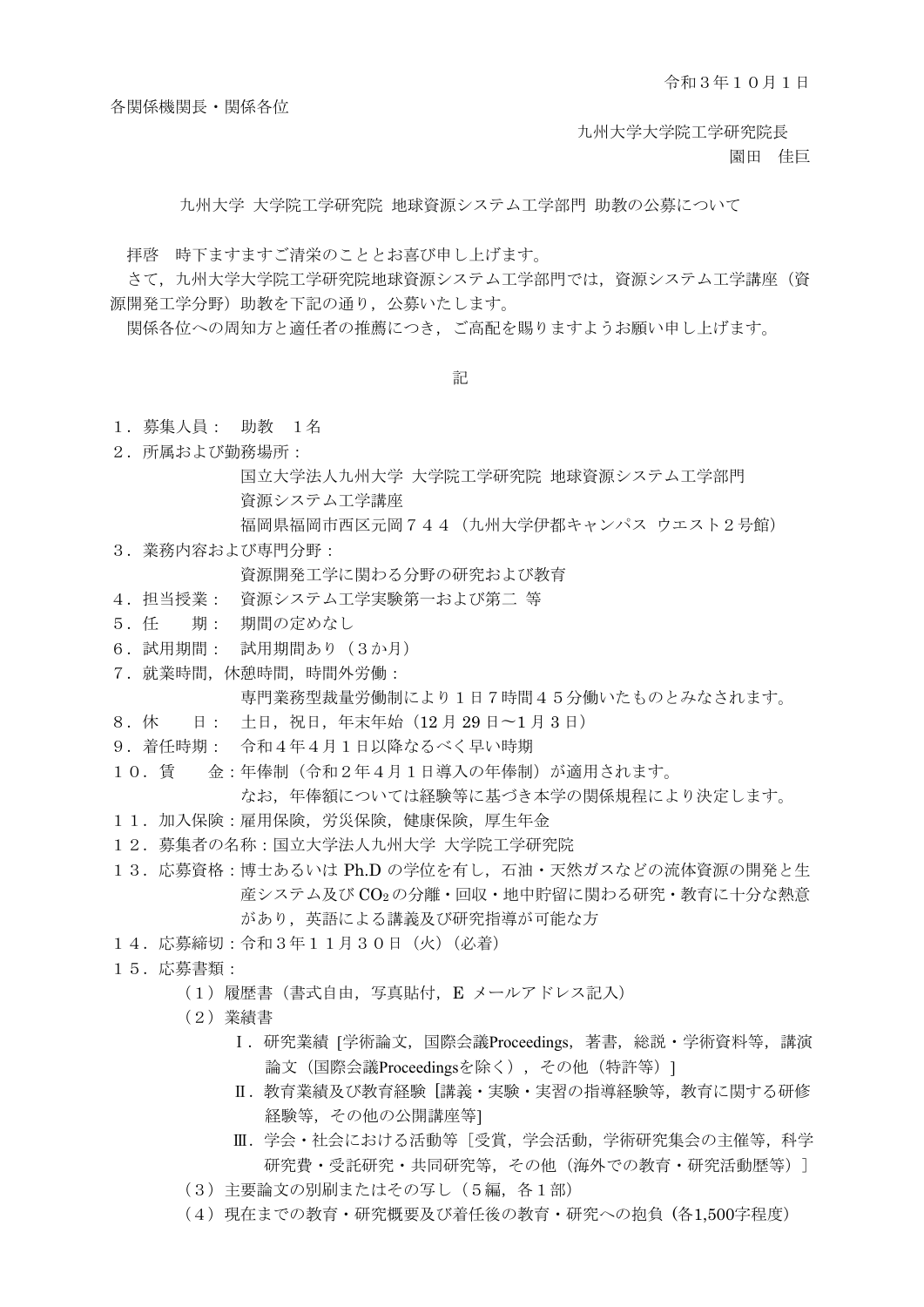各関係機関長・関係各位

九州大学大学院工学研究院長

園田 佳巨

九州大学 大学院工学研究院 地球資源システム工学部門 助教の公募について

拝啓 時下ますますご清栄のこととお喜び申し上げます。

さて,九州大学大学院工学研究院地球資源システム工学部門では,資源システム工学講座(資 源開発工学分野)助教を下記の通り,公募いたします。

関係各位への周知方と適任者の推薦につき,ご高配を賜りますようお願い申し上げます。

記

- 1. 募集人員: 助教 1名
- 2.所属および勤務場所:

国立大学法人九州大学 大学院工学研究院 地球資源システム工学部門 資源システム工学講座

福岡県福岡市西区元岡744(九州大学伊都キャンパス ウエスト2号館)

3.業務内容および専門分野:

資源開発工学に関わる分野の研究および教育

- 4.担当授業: 資源システム工学実験第一および第二 等
- 5.任 期: 期間の定めなし
- 6.試用期間: 試用期間あり(3か月)
- 7.就業時間,休憩時間,時間外労働:

専門業務型裁量労働制により1日7時間45分働いたものとみなされます。

- 8.休 日: 土日,祝日,年末年始(12 月 29 日〜1 月 3 日)
- 9.着任時期: 令和4年4月1日以降なるべく早い時期
- 10.賃 金:年俸制(令和2年4月1日導入の年俸制)が適用されます。 なお,年俸額については経験等に基づき本学の関係規程により決定します。
- 11.加入保険:雇用保険,労災保険,健康保険,厚生年金
- 12. 募集者の名称:国立大学法人九州大学 大学院工学研究院
- 13.応募資格:博士あるいは Ph.D の学位を有し,石油・天然ガスなどの流体資源の開発と生 産システム及び CO<sub>2</sub>の分離・回収・地中貯留に関わる研究・教育に十分な熱意 があり,英語による講義及び研究指導が可能な方
- 14.応募締切:令和3年11月30日(火)(必着)
- 15.応募書類:
	- (1)履歴書(書式自由,写真貼付,E メールアドレス記入)
	- (2)業績書
		- Ⅰ.研究業績 [学術論文,国際会議Proceedings,著書,総説・学術資料等,講演 論文 (国際会議Proceedingsを除く), その他 (特許等) 1
		- Ⅱ. 教育業績及び教育経験 [講義・実験・実習の指導経験等,教育に関する研修 経験等,その他の公開講座等]
		- Ⅲ.学会・社会における活動等 [受賞,学会活動,学術研究集会の主催等,科学 研究費・受託研究・共同研究等,その他(海外での教育・研究活動歴等)]
	- (3)主要論文の別刷またはその写し(5編,各1部)
	- (4)現在までの教育・研究概要及び着任後の教育・研究への抱負 (各1,500字程度)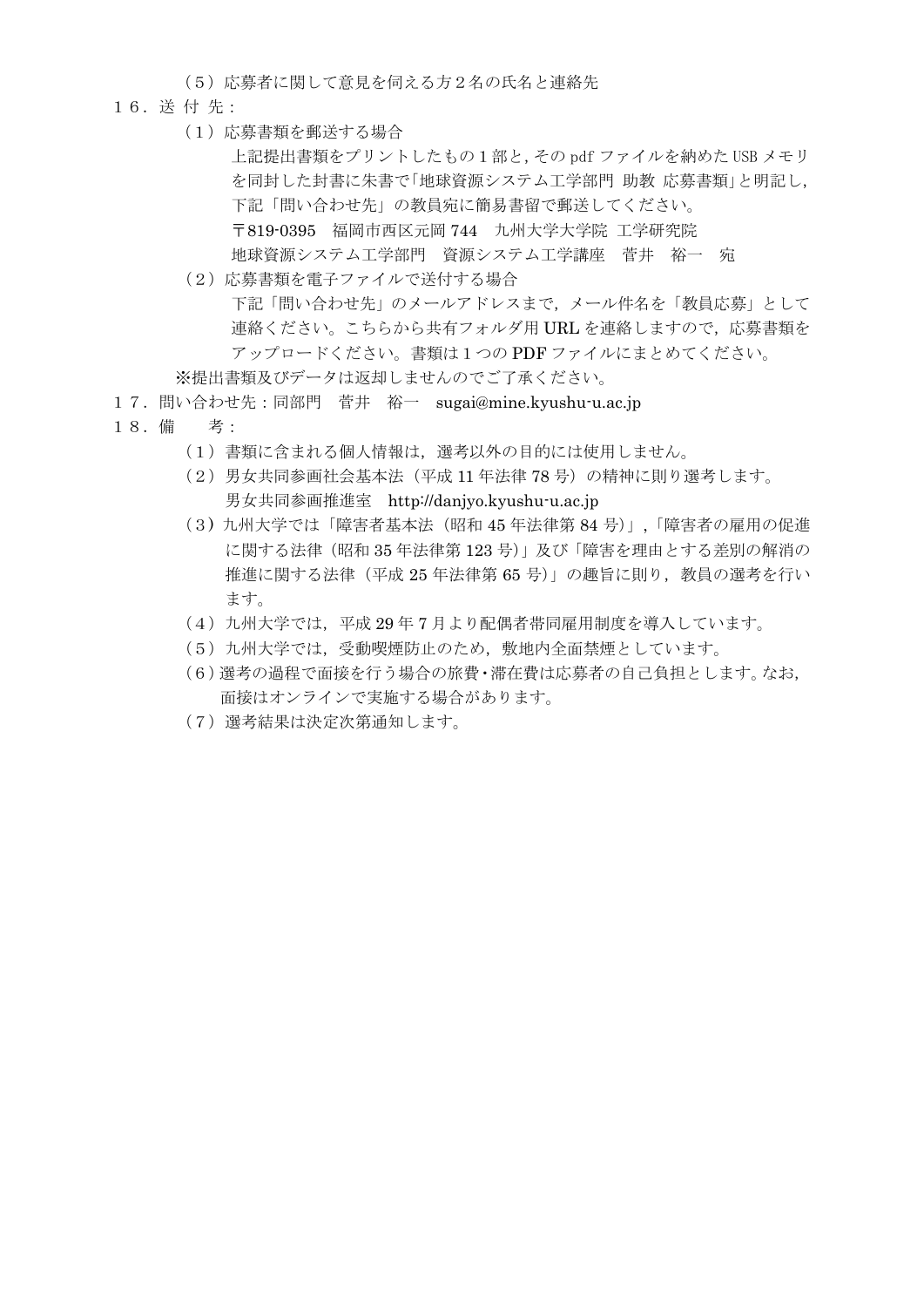(5)応募者に関して意見を伺える方2名の氏名と連絡先

- 16.送 付 先:
	- (1)応募書類を郵送する場合

上記提出書類をプリントしたもの1部と,その pdf ファイルを納めた USB メモリ を同封した封書に朱書で「地球資源システム工学部門 助教 応募書類」と明記し, 下記「問い合わせ先」の教員宛に簡易書留で郵送してください。 〒819-0395 福岡市西区元岡 744 九州大学大学院 工学研究院 地球資源システム工学部門 資源システム工学講座 菅井 裕一 宛

- (2)応募書類を電子ファイルで送付する場合 下記「問い合わせ先」のメールアドレスまで,メール件名を「教員応募」として 連絡ください。こちらから共有フォルダ用 URL を連絡しますので,応募書類を アップロードください。書類は1つの PDF ファイルにまとめてください。
- ※提出書類及びデータは返却しませんのでご了承ください。
- 17.問い合わせ先:同部門 菅井 裕一 sugai@mine.kyushu-u.ac.jp
- 18.備 考:
	- (1)書類に含まれる個人情報は,選考以外の目的には使用しません。
	- (2)男女共同参画社会基本法(平成 11 年法律 78 号)の精神に則り選考します。 男女共同参画推進室 http://danjyo.kyushu-u.ac.jp
	- (3) 九州大学では「障害者基本法(昭和 45 年法律第 84 号)」,「障害者の雇用の促進 に関する法律(昭和 35 年法律第 123 号)」及び「障害を理由とする差別の解消の 推進に関する法律(平成 25 年法律第 65 号)」の趣旨に則り,教員の選考を行い ます。
	- (4)九州大学では,平成 29 年 7 月より配偶者帯同雇用制度を導入しています。
	- (5)九州大学では,受動喫煙防止のため,敷地内全面禁煙としています。
	- (6)選考の過程で面接を行う場合の旅費・滞在費は応募者の自己負担とします。なお, 面接はオンラインで実施する場合があります。
	- (7)選考結果は決定次第通知します。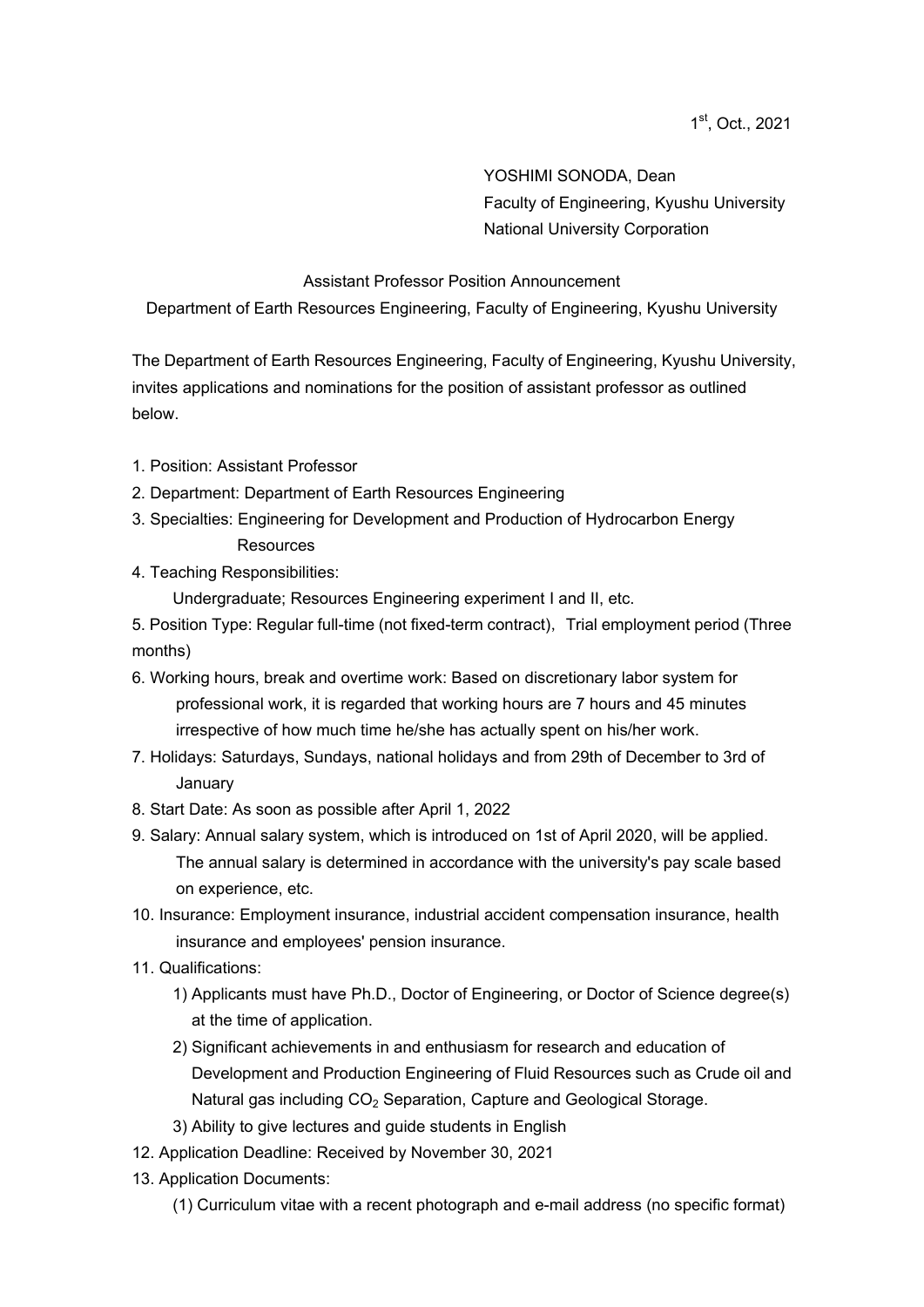YOSHIMI SONODA, Dean Faculty of Engineering, Kyushu University National University Corporation

## Assistant Professor Position Announcement

Department of Earth Resources Engineering, Faculty of Engineering, Kyushu University

The Department of Earth Resources Engineering, Faculty of Engineering, Kyushu University, invites applications and nominations for the position of assistant professor as outlined below.

- 1. Position: Assistant Professor
- 2. Department: Department of Earth Resources Engineering
- 3. Specialties: Engineering for Development and Production of Hydrocarbon Energy **Resources**
- 4. Teaching Responsibilities:

Undergraduate; Resources Engineering experiment I and II, etc.

5. Position Type: Regular full-time (not fixed-term contract), Trial employment period (Three months)

- 6. Working hours, break and overtime work: Based on discretionary labor system for professional work, it is regarded that working hours are 7 hours and 45 minutes irrespective of how much time he/she has actually spent on his/her work.
- 7. Holidays: Saturdays, Sundays, national holidays and from 29th of December to 3rd of January
- 8. Start Date: As soon as possible after April 1, 2022
- 9. Salary: Annual salary system, which is introduced on 1st of April 2020, will be applied. The annual salary is determined in accordance with the university's pay scale based on experience, etc.
- 10. Insurance: Employment insurance, industrial accident compensation insurance, health insurance and employees' pension insurance.
- 11. Qualifications:
	- 1) Applicants must have Ph.D., Doctor of Engineering, or Doctor of Science degree(s) at the time of application.
	- 2) Significant achievements in and enthusiasm for research and education of Development and Production Engineering of Fluid Resources such as Crude oil and Natural gas including CO<sub>2</sub> Separation, Capture and Geological Storage.
	- 3) Ability to give lectures and guide students in English
- 12. Application Deadline: Received by November 30, 2021
- 13. Application Documents:
	- (1) Curriculum vitae with a recent photograph and e-mail address (no specific format)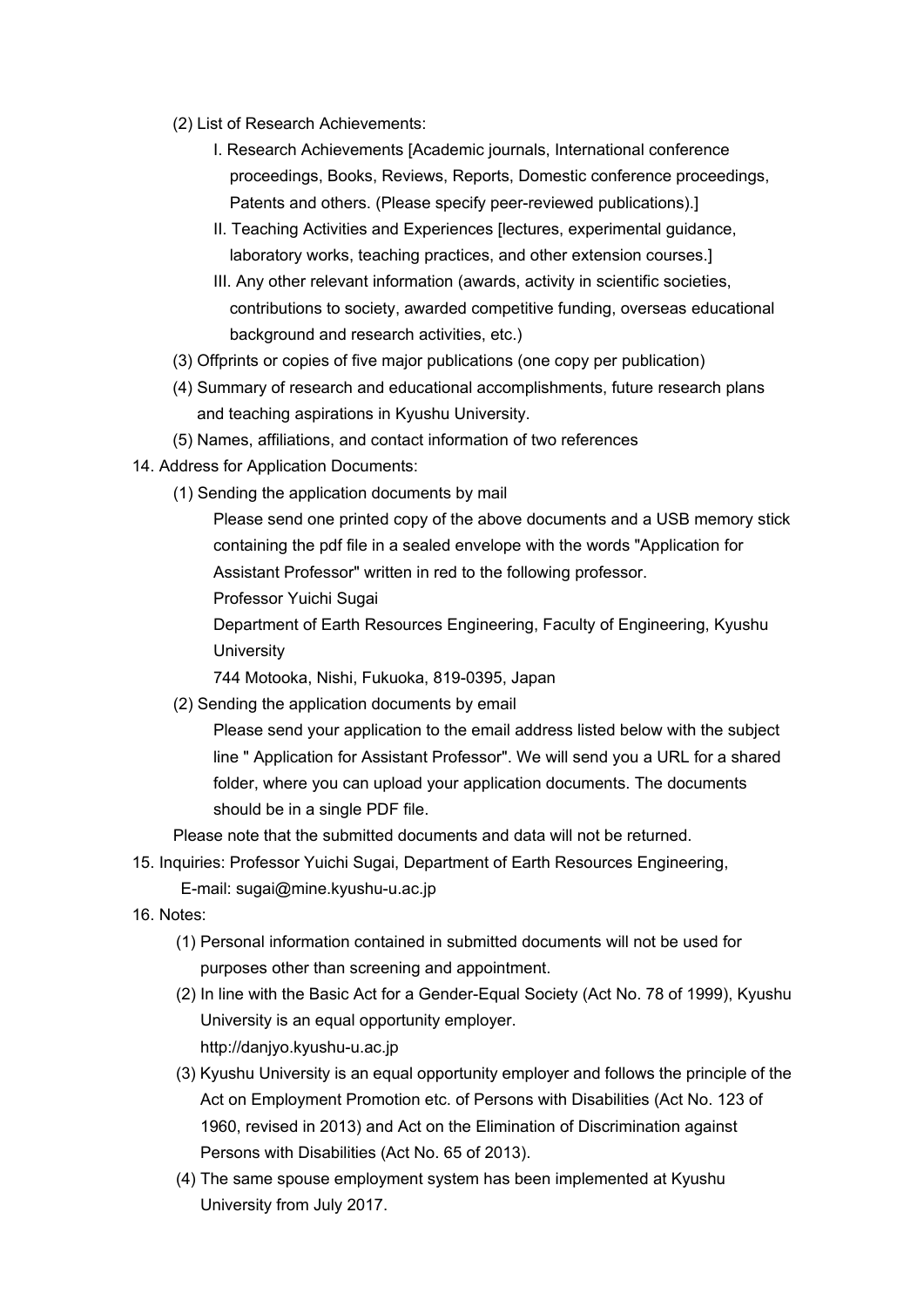- (2) List of Research Achievements:
	- I. Research Achievements [Academic journals, International conference proceedings, Books, Reviews, Reports, Domestic conference proceedings, Patents and others. (Please specify peer-reviewed publications).]
	- II. Teaching Activities and Experiences [lectures, experimental guidance, laboratory works, teaching practices, and other extension courses.]
	- III. Any other relevant information (awards, activity in scientific societies, contributions to society, awarded competitive funding, overseas educational background and research activities, etc.)
- (3) Offprints or copies of five major publications (one copy per publication)
- (4) Summary of research and educational accomplishments, future research plans and teaching aspirations in Kyushu University.
- (5) Names, affiliations, and contact information of two references
- 14. Address for Application Documents:
	- (1) Sending the application documents by mail

Please send one printed copy of the above documents and a USB memory stick containing the pdf file in a sealed envelope with the words "Application for Assistant Professor" written in red to the following professor.

Professor Yuichi Sugai

Department of Earth Resources Engineering, Faculty of Engineering, Kyushu **University** 

744 Motooka, Nishi, Fukuoka, 819-0395, Japan

(2) Sending the application documents by email

Please send your application to the email address listed below with the subject line " Application for Assistant Professor". We will send you a URL for a shared folder, where you can upload your application documents. The documents should be in a single PDF file.

Please note that the submitted documents and data will not be returned.

15. Inquiries: Professor Yuichi Sugai, Department of Earth Resources Engineering, E-mail: sugai@mine.kyushu-u.ac.jp

- 16. Notes:
	- (1) Personal information contained in submitted documents will not be used for purposes other than screening and appointment.
	- (2) In line with the Basic Act for a Gender-Equal Society (Act No. 78 of 1999), Kyushu University is an equal opportunity employer. http://danjyo.kyushu-u.ac.jp
	- (3) Kyushu University is an equal opportunity employer and follows the principle of the Act on Employment Promotion etc. of Persons with Disabilities (Act No. 123 of 1960, revised in 2013) and Act on the Elimination of Discrimination against Persons with Disabilities (Act No. 65 of 2013).
	- (4) The same spouse employment system has been implemented at Kyushu University from July 2017.